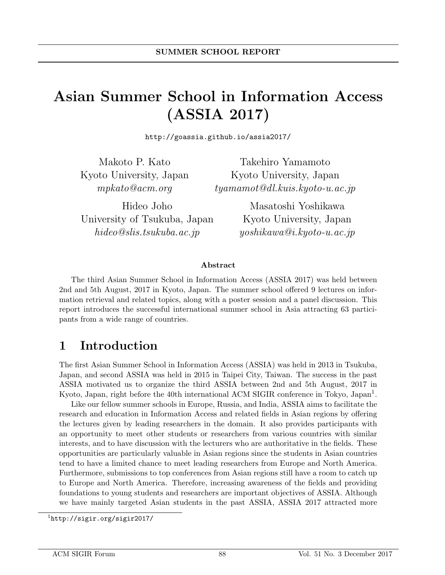# Asian Summer School in Information Access (ASSIA 2017)

http://goassia.github.io/assia2017/

Makoto P. Kato Kyoto University, Japan mpkato@acm.org

Takehiro Yamamoto Kyoto University, Japan tyamamot@dl.kuis.kyoto-u.ac.jp

Hideo Joho University of Tsukuba, Japan hideo@slis.tsukuba.ac.jp

Masatoshi Yoshikawa Kyoto University, Japan yoshikawa@i.kyoto-u.ac.jp

#### Abstract

The third Asian Summer School in Information Access (ASSIA 2017) was held between 2nd and 5th August, 2017 in Kyoto, Japan. The summer school offered 9 lectures on information retrieval and related topics, along with a poster session and a panel discussion. This report introduces the successful international summer school in Asia attracting 63 participants from a wide range of countries.

## 1 Introduction

The first Asian Summer School in Information Access (ASSIA) was held in 2013 in Tsukuba, Japan, and second ASSIA was held in 2015 in Taipei City, Taiwan. The success in the past ASSIA motivated us to organize the third ASSIA between 2nd and 5th August, 2017 in Kyoto, Japan, right before the 40th international ACM SIGIR conference in Tokyo, Japan<sup>1</sup>.

Like our fellow summer schools in Europe, Russia, and India, ASSIA aims to facilitate the research and education in Information Access and related fields in Asian regions by offering the lectures given by leading researchers in the domain. It also provides participants with an opportunity to meet other students or researchers from various countries with similar interests, and to have discussion with the lecturers who are authoritative in the fields. These opportunities are particularly valuable in Asian regions since the students in Asian countries tend to have a limited chance to meet leading researchers from Europe and North America. Furthermore, submissions to top conferences from Asian regions still have a room to catch up to Europe and North America. Therefore, increasing awareness of the fields and providing foundations to young students and researchers are important objectives of ASSIA. Although we have mainly targeted Asian students in the past ASSIA, ASSIA 2017 attracted more

<sup>1</sup>http://sigir.org/sigir2017/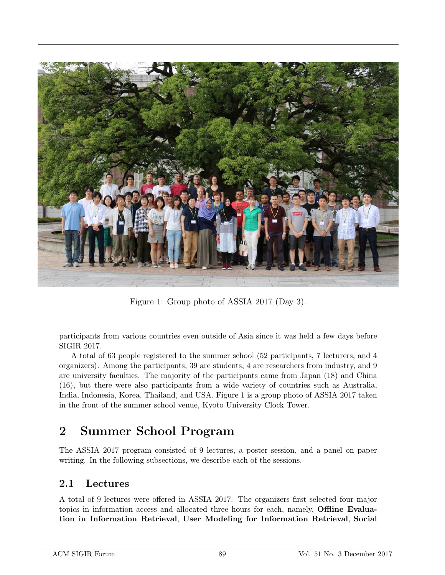

Figure 1: Group photo of ASSIA 2017 (Day 3).

participants from various countries even outside of Asia since it was held a few days before SIGIR 2017.

A total of 63 people registered to the summer school (52 participants, 7 lecturers, and 4 organizers). Among the participants, 39 are students, 4 are researchers from industry, and 9 are university faculties. The majority of the participants came from Japan (18) and China (16), but there were also participants from a wide variety of countries such as Australia, India, Indonesia, Korea, Thailand, and USA. Figure 1 is a group photo of ASSIA 2017 taken in the front of the summer school venue, Kyoto University Clock Tower.

## 2 Summer School Program

The ASSIA 2017 program consisted of 9 lectures, a poster session, and a panel on paper writing. In the following subsections, we describe each of the sessions.

#### 2.1 Lectures

A total of 9 lectures were offered in ASSIA 2017. The organizers first selected four major topics in information access and allocated three hours for each, namely, Offline Evaluation in Information Retrieval, User Modeling for Information Retrieval, Social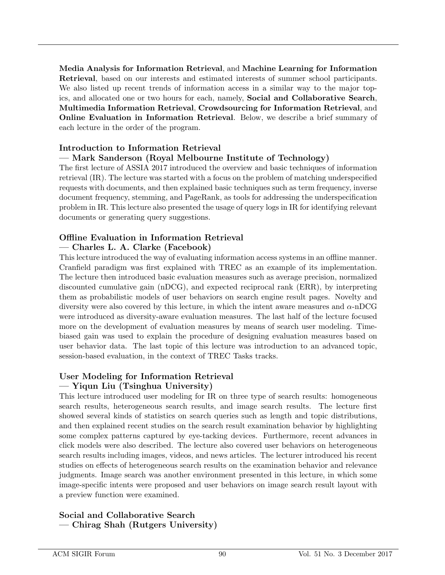Media Analysis for Information Retrieval, and Machine Learning for Information Retrieval, based on our interests and estimated interests of summer school participants. We also listed up recent trends of information access in a similar way to the major topics, and allocated one or two hours for each, namely, Social and Collaborative Search, Multimedia Information Retrieval, Crowdsourcing for Information Retrieval, and **Online Evaluation in Information Retrieval.** Below, we describe a brief summary of each lecture in the order of the program.

#### Introduction to Information Retrieval

#### — Mark Sanderson (Royal Melbourne Institute of Technology)

The first lecture of ASSIA 2017 introduced the overview and basic techniques of information retrieval (IR). The lecture was started with a focus on the problem of matching underspecified requests with documents, and then explained basic techniques such as term frequency, inverse document frequency, stemming, and PageRank, as tools for addressing the underspecification problem in IR. This lecture also presented the usage of query logs in IR for identifying relevant documents or generating query suggestions.

### Offline Evaluation in Information Retrieval

#### — Charles L. A. Clarke (Facebook)

This lecture introduced the way of evaluating information access systems in an offline manner. Cranfield paradigm was first explained with TREC as an example of its implementation. The lecture then introduced basic evaluation measures such as average precision, normalized discounted cumulative gain (nDCG), and expected reciprocal rank (ERR), by interpreting them as probabilistic models of user behaviors on search engine result pages. Novelty and diversity were also covered by this lecture, in which the intent aware measures and  $\alpha$ -nDCG were introduced as diversity-aware evaluation measures. The last half of the lecture focused more on the development of evaluation measures by means of search user modeling. Timebiased gain was used to explain the procedure of designing evaluation measures based on user behavior data. The last topic of this lecture was introduction to an advanced topic, session-based evaluation, in the context of TREC Tasks tracks.

#### User Modeling for Information Retrieval — Yiqun Liu (Tsinghua University)

This lecture introduced user modeling for IR on three type of search results: homogeneous search results, heterogeneous search results, and image search results. The lecture first showed several kinds of statistics on search queries such as length and topic distributions, and then explained recent studies on the search result examination behavior by highlighting some complex patterns captured by eye-tacking devices. Furthermore, recent advances in click models were also described. The lecture also covered user behaviors on heterogeneous search results including images, videos, and news articles. The lecturer introduced his recent studies on effects of heterogeneous search results on the examination behavior and relevance judgments. Image search was another environment presented in this lecture, in which some image-specific intents were proposed and user behaviors on image search result layout with a preview function were examined.

Social and Collaborative Search — Chirag Shah (Rutgers University)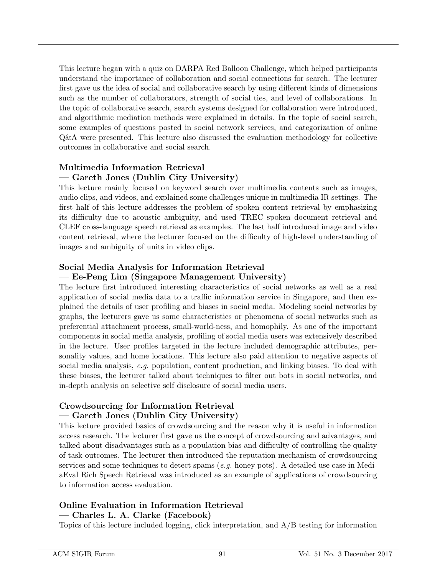This lecture began with a quiz on DARPA Red Balloon Challenge, which helped participants understand the importance of collaboration and social connections for search. The lecturer first gave us the idea of social and collaborative search by using different kinds of dimensions such as the number of collaborators, strength of social ties, and level of collaborations. In the topic of collaborative search, search systems designed for collaboration were introduced, and algorithmic mediation methods were explained in details. In the topic of social search, some examples of questions posted in social network services, and categorization of online Q&A were presented. This lecture also discussed the evaluation methodology for collective outcomes in collaborative and social search.

#### Multimedia Information Retrieval — Gareth Jones (Dublin City University)

This lecture mainly focused on keyword search over multimedia contents such as images, audio clips, and videos, and explained some challenges unique in multimedia IR settings. The first half of this lecture addresses the problem of spoken content retrieval by emphasizing its difficulty due to acoustic ambiguity, and used TREC spoken document retrieval and CLEF cross-language speech retrieval as examples. The last half introduced image and video content retrieval, where the lecturer focused on the difficulty of high-level understanding of images and ambiguity of units in video clips.

#### Social Media Analysis for Information Retrieval

#### — Ee-Peng Lim (Singapore Management University)

The lecture first introduced interesting characteristics of social networks as well as a real application of social media data to a traffic information service in Singapore, and then explained the details of user profiling and biases in social media. Modeling social networks by graphs, the lecturers gave us some characteristics or phenomena of social networks such as preferential attachment process, small-world-ness, and homophily. As one of the important components in social media analysis, profiling of social media users was extensively described in the lecture. User profiles targeted in the lecture included demographic attributes, personality values, and home locations. This lecture also paid attention to negative aspects of social media analysis, e.g. population, content production, and linking biases. To deal with these biases, the lecturer talked about techniques to filter out bots in social networks, and in-depth analysis on selective self disclosure of social media users.

#### Crowdsourcing for Information Retrieval — Gareth Jones (Dublin City University)

This lecture provided basics of crowdsourcing and the reason why it is useful in information access research. The lecturer first gave us the concept of crowdsourcing and advantages, and talked about disadvantages such as a population bias and difficulty of controlling the quality of task outcomes. The lecturer then introduced the reputation mechanism of crowdsourcing services and some techniques to detect spams (e.g. honey pots). A detailed use case in MediaEval Rich Speech Retrieval was introduced as an example of applications of crowdsourcing to information access evaluation.

#### Online Evaluation in Information Retrieval

— Charles L. A. Clarke (Facebook)

Topics of this lecture included logging, click interpretation, and A/B testing for information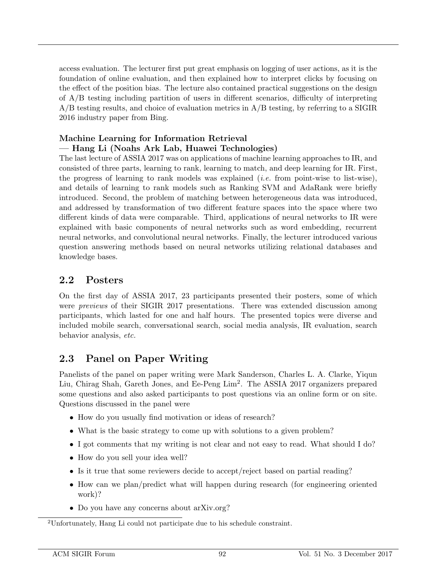access evaluation. The lecturer first put great emphasis on logging of user actions, as it is the foundation of online evaluation, and then explained how to interpret clicks by focusing on the effect of the position bias. The lecture also contained practical suggestions on the design of A/B testing including partition of users in different scenarios, difficulty of interpreting A/B testing results, and choice of evaluation metrics in A/B testing, by referring to a SIGIR 2016 industry paper from Bing.

#### Machine Learning for Information Retrieval — Hang Li (Noahs Ark Lab, Huawei Technologies)

The last lecture of ASSIA 2017 was on applications of machine learning approaches to IR, and consisted of three parts, learning to rank, learning to match, and deep learning for IR. First, the progress of learning to rank models was explained (i.e. from point-wise to list-wise), and details of learning to rank models such as Ranking SVM and AdaRank were briefly introduced. Second, the problem of matching between heterogeneous data was introduced, and addressed by transformation of two different feature spaces into the space where two different kinds of data were comparable. Third, applications of neural networks to IR were explained with basic components of neural networks such as word embedding, recurrent neural networks, and convolutional neural networks. Finally, the lecturer introduced various question answering methods based on neural networks utilizing relational databases and knowledge bases.

#### 2.2 Posters

On the first day of ASSIA 2017, 23 participants presented their posters, some of which were *previews* of their SIGIR 2017 presentations. There was extended discussion among participants, which lasted for one and half hours. The presented topics were diverse and included mobile search, conversational search, social media analysis, IR evaluation, search behavior analysis, etc.

### 2.3 Panel on Paper Writing

Panelists of the panel on paper writing were Mark Sanderson, Charles L. A. Clarke, Yiqun Liu, Chirag Shah, Gareth Jones, and Ee-Peng Lim<sup>2</sup> . The ASSIA 2017 organizers prepared some questions and also asked participants to post questions via an online form or on site. Questions discussed in the panel were

- How do you usually find motivation or ideas of research?
- What is the basic strategy to come up with solutions to a given problem?
- I got comments that my writing is not clear and not easy to read. What should I do?
- How do you sell your idea well?
- Is it true that some reviewers decide to accept/reject based on partial reading?
- How can we plan/predict what will happen during research (for engineering oriented work)?
- Do you have any concerns about arXiv.org?

<sup>2</sup>Unfortunately, Hang Li could not participate due to his schedule constraint.